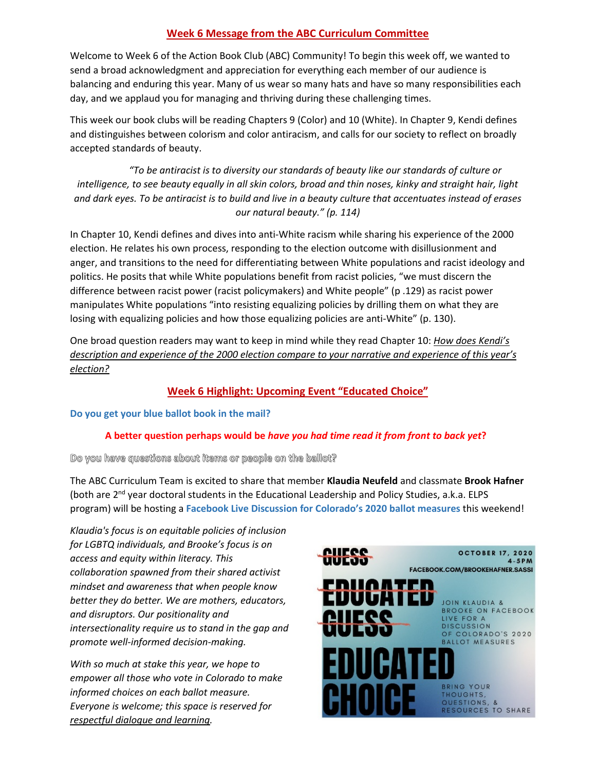# **Week 6 Message from the ABC Curriculum Committee**

Welcome to Week 6 of the Action Book Club (ABC) Community! To begin this week off, we wanted to send a broad acknowledgment and appreciation for everything each member of our audience is balancing and enduring this year. Many of us wear so many hats and have so many responsibilities each day, and we applaud you for managing and thriving during these challenging times.

This week our book clubs will be reading Chapters 9 (Color) and 10 (White). In Chapter 9, Kendi defines and distinguishes between colorism and color antiracism, and calls for our society to reflect on broadly accepted standards of beauty.

*"To be antiracist is to diversity our standards of beauty like our standards of culture or intelligence, to see beauty equally in all skin colors, broad and thin noses, kinky and straight hair, light and dark eyes. To be antiracist is to build and live in a beauty culture that accentuates instead of erases our natural beauty." (p. 114)*

In Chapter 10, Kendi defines and dives into anti-White racism while sharing his experience of the 2000 election. He relates his own process, responding to the election outcome with disillusionment and anger, and transitions to the need for differentiating between White populations and racist ideology and politics. He posits that while White populations benefit from racist policies, "we must discern the difference between racist power (racist policymakers) and White people" (p .129) as racist power manipulates White populations "into resisting equalizing policies by drilling them on what they are losing with equalizing policies and how those equalizing policies are anti-White" (p. 130).

One broad question readers may want to keep in mind while they read Chapter 10: *How does Kendi's description and experience of the 2000 election compare to your narrative and experience of this year's election?* 

# **Week 6 Highlight: Upcoming Event "Educated Choice"**

### **Do you get your blue ballot book in the mail?**

## **A better question perhaps would be** *have you had time read it from front to back yet***?**

### Do you have questions about items or people on the ballot?

The ABC Curriculum Team is excited to share that member **Klaudia Neufeld** and classmate **Brook Hafner** (both are 2nd year doctoral students in the Educational Leadership and Policy Studies, a.k.a. ELPS program) will be hosting a **Facebook Live Discussion for Colorado's 2020 ballot measures** this weekend!

*Klaudia's focus is on equitable policies of inclusion for LGBTQ individuals, and Brooke's focus is on access and equity within literacy. This collaboration spawned from their shared activist mindset and awareness that when people know better they do better. We are mothers, educators, and disruptors. Our positionality and intersectionality require us to stand in the gap and promote well-informed decision-making.* 

*With so much at stake this year, we hope to empower all those who vote in Colorado to make informed choices on each ballot measure. Everyone is welcome; this space is reserved for respectful dialogue and learning.*

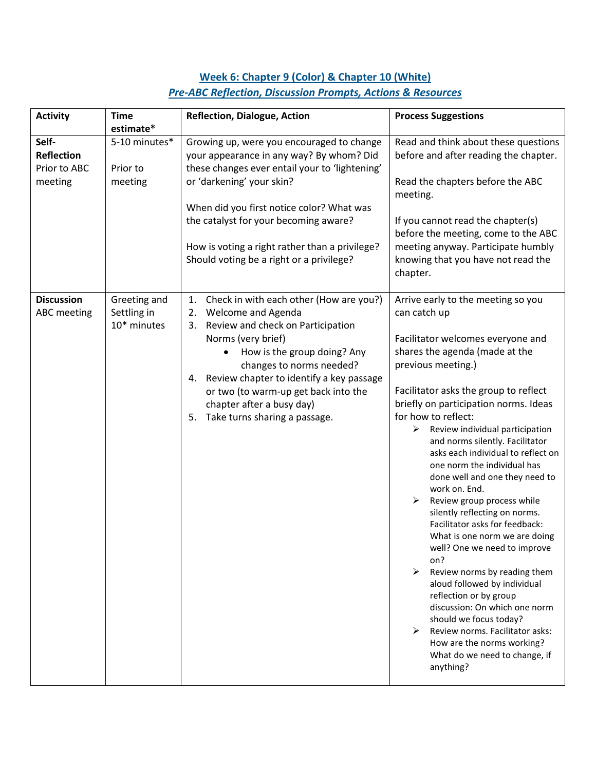# **Week 6: Chapter 9 (Color) & Chapter 10 (White)** *Pre-ABC Reflection, Discussion Prompts, Actions & Resources*

| <b>Activity</b>                                       | <b>Time</b><br>estimate*                   | <b>Reflection, Dialogue, Action</b>                                                                                                                                                                                                                                                                                                                                 | <b>Process Suggestions</b>                                                                                                                                                                                                                                                                                                                                                                                                                                                                                                                                                                                                                                                                                                                                                                                                                                                                                                             |
|-------------------------------------------------------|--------------------------------------------|---------------------------------------------------------------------------------------------------------------------------------------------------------------------------------------------------------------------------------------------------------------------------------------------------------------------------------------------------------------------|----------------------------------------------------------------------------------------------------------------------------------------------------------------------------------------------------------------------------------------------------------------------------------------------------------------------------------------------------------------------------------------------------------------------------------------------------------------------------------------------------------------------------------------------------------------------------------------------------------------------------------------------------------------------------------------------------------------------------------------------------------------------------------------------------------------------------------------------------------------------------------------------------------------------------------------|
| Self-<br><b>Reflection</b><br>Prior to ABC<br>meeting | 5-10 minutes*<br>Prior to<br>meeting       | Growing up, were you encouraged to change<br>your appearance in any way? By whom? Did<br>these changes ever entail your to 'lightening'<br>or 'darkening' your skin?<br>When did you first notice color? What was<br>the catalyst for your becoming aware?<br>How is voting a right rather than a privilege?<br>Should voting be a right or a privilege?            | Read and think about these questions<br>before and after reading the chapter.<br>Read the chapters before the ABC<br>meeting.<br>If you cannot read the chapter(s)<br>before the meeting, come to the ABC<br>meeting anyway. Participate humbly<br>knowing that you have not read the<br>chapter.                                                                                                                                                                                                                                                                                                                                                                                                                                                                                                                                                                                                                                      |
| <b>Discussion</b><br><b>ABC</b> meeting               | Greeting and<br>Settling in<br>10* minutes | Check in with each other (How are you?)<br>1.<br>Welcome and Agenda<br>2.<br>Review and check on Participation<br>3.<br>Norms (very brief)<br>How is the group doing? Any<br>changes to norms needed?<br>Review chapter to identify a key passage<br>4.<br>or two (to warm-up get back into the<br>chapter after a busy day)<br>Take turns sharing a passage.<br>5. | Arrive early to the meeting so you<br>can catch up<br>Facilitator welcomes everyone and<br>shares the agenda (made at the<br>previous meeting.)<br>Facilitator asks the group to reflect<br>briefly on participation norms. Ideas<br>for how to reflect:<br>Review individual participation<br>➤<br>and norms silently. Facilitator<br>asks each individual to reflect on<br>one norm the individual has<br>done well and one they need to<br>work on. End.<br>$\blacktriangleright$<br>Review group process while<br>silently reflecting on norms.<br>Facilitator asks for feedback:<br>What is one norm we are doing<br>well? One we need to improve<br>on?<br>≻<br>Review norms by reading them<br>aloud followed by individual<br>reflection or by group<br>discussion: On which one norm<br>should we focus today?<br>Review norms. Facilitator asks:<br>How are the norms working?<br>What do we need to change, if<br>anything? |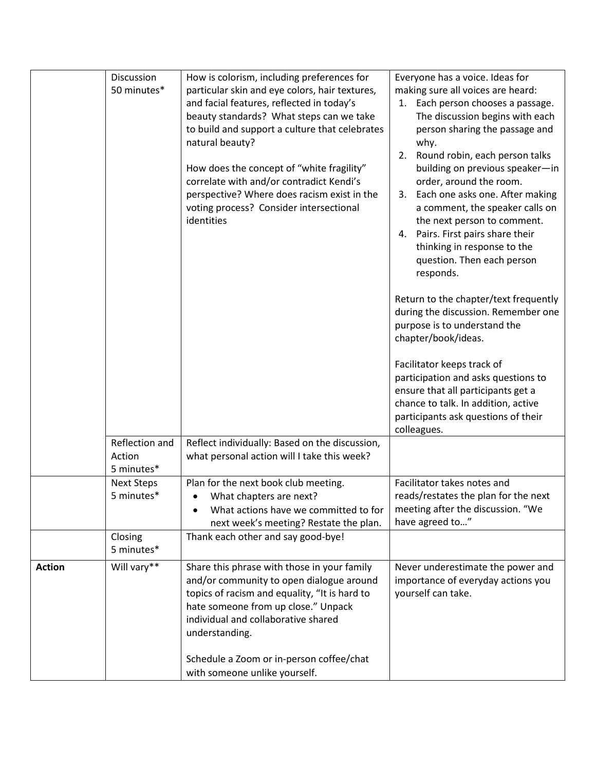|               | Discussion<br>50 minutes*              | How is colorism, including preferences for<br>particular skin and eye colors, hair textures,<br>and facial features, reflected in today's<br>beauty standards? What steps can we take<br>to build and support a culture that celebrates<br>natural beauty?<br>How does the concept of "white fragility"<br>correlate with and/or contradict Kendi's<br>perspective? Where does racism exist in the<br>voting process? Consider intersectional<br>identities | Everyone has a voice. Ideas for<br>making sure all voices are heard:<br>Each person chooses a passage.<br>1.<br>The discussion begins with each<br>person sharing the passage and<br>why.<br>Round robin, each person talks<br>2.<br>building on previous speaker-in<br>order, around the room.<br>Each one asks one. After making<br>3.<br>a comment, the speaker calls on<br>the next person to comment.<br>Pairs. First pairs share their<br>4.<br>thinking in response to the<br>question. Then each person<br>responds.<br>Return to the chapter/text frequently<br>during the discussion. Remember one<br>purpose is to understand the<br>chapter/book/ideas.<br>Facilitator keeps track of<br>participation and asks questions to<br>ensure that all participants get a<br>chance to talk. In addition, active<br>participants ask questions of their<br>colleagues. |
|---------------|----------------------------------------|-------------------------------------------------------------------------------------------------------------------------------------------------------------------------------------------------------------------------------------------------------------------------------------------------------------------------------------------------------------------------------------------------------------------------------------------------------------|-----------------------------------------------------------------------------------------------------------------------------------------------------------------------------------------------------------------------------------------------------------------------------------------------------------------------------------------------------------------------------------------------------------------------------------------------------------------------------------------------------------------------------------------------------------------------------------------------------------------------------------------------------------------------------------------------------------------------------------------------------------------------------------------------------------------------------------------------------------------------------|
|               | Reflection and<br>Action<br>5 minutes* | Reflect individually: Based on the discussion,<br>what personal action will I take this week?                                                                                                                                                                                                                                                                                                                                                               |                                                                                                                                                                                                                                                                                                                                                                                                                                                                                                                                                                                                                                                                                                                                                                                                                                                                             |
|               | <b>Next Steps</b><br>5 minutes*        | Plan for the next book club meeting.<br>What chapters are next?<br>What actions have we committed to for<br>$\bullet$<br>next week's meeting? Restate the plan.                                                                                                                                                                                                                                                                                             | Facilitator takes notes and<br>reads/restates the plan for the next<br>meeting after the discussion. "We<br>have agreed to"                                                                                                                                                                                                                                                                                                                                                                                                                                                                                                                                                                                                                                                                                                                                                 |
|               | Closing<br>5 minutes*                  | Thank each other and say good-bye!                                                                                                                                                                                                                                                                                                                                                                                                                          |                                                                                                                                                                                                                                                                                                                                                                                                                                                                                                                                                                                                                                                                                                                                                                                                                                                                             |
| <b>Action</b> | Will vary**                            | Share this phrase with those in your family<br>and/or community to open dialogue around<br>topics of racism and equality, "It is hard to<br>hate someone from up close." Unpack<br>individual and collaborative shared<br>understanding.<br>Schedule a Zoom or in-person coffee/chat                                                                                                                                                                        | Never underestimate the power and<br>importance of everyday actions you<br>yourself can take.                                                                                                                                                                                                                                                                                                                                                                                                                                                                                                                                                                                                                                                                                                                                                                               |
|               |                                        | with someone unlike yourself.                                                                                                                                                                                                                                                                                                                                                                                                                               |                                                                                                                                                                                                                                                                                                                                                                                                                                                                                                                                                                                                                                                                                                                                                                                                                                                                             |